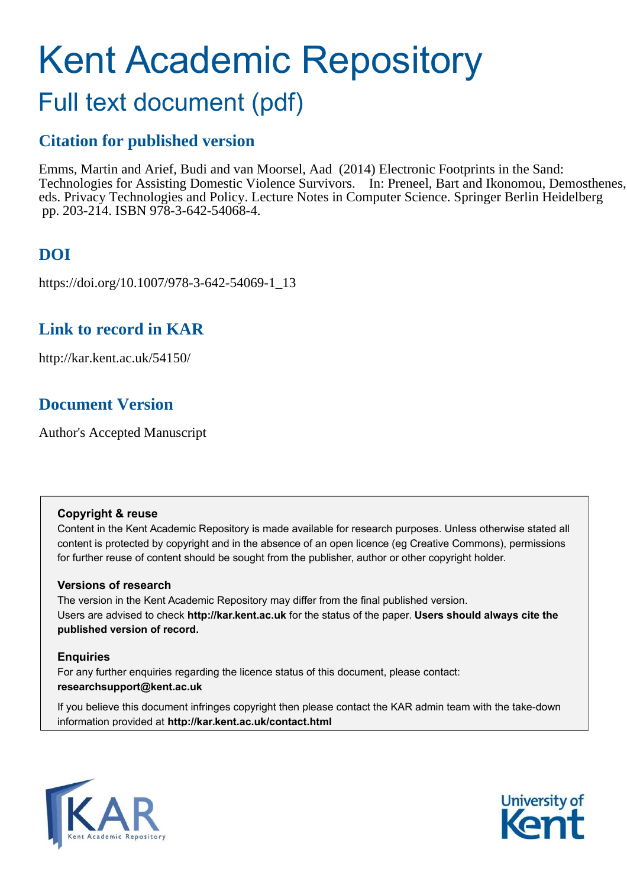# Kent Academic Repository

## Full text document (pdf)

## **Citation for published version**

Emms, Martin and Arief, Budi and van Moorsel, Aad (2014) Electronic Footprints in the Sand: Technologies for Assisting Domestic Violence Survivors. In: Preneel, Bart and Ikonomou, Demosthenes, eds. Privacy Technologies and Policy. Lecture Notes in Computer Science. Springer Berlin Heidelberg pp. 203-214. ISBN 978-3-642-54068-4.

## **DOI**

https://doi.org/10.1007/978-3-642-54069-1\_13

## **Link to record in KAR**

http://kar.kent.ac.uk/54150/

## **Document Version**

Author's Accepted Manuscript

#### **Copyright & reuse**

Content in the Kent Academic Repository is made available for research purposes. Unless otherwise stated all content is protected by copyright and in the absence of an open licence (eg Creative Commons), permissions for further reuse of content should be sought from the publisher, author or other copyright holder.

#### **Versions of research**

The version in the Kent Academic Repository may differ from the final published version. Users are advised to check **http://kar.kent.ac.uk** for the status of the paper. **Users should always cite the published version of record.**

#### **Enquiries**

For any further enquiries regarding the licence status of this document, please contact: **researchsupport@kent.ac.uk**

If you believe this document infringes copyright then please contact the KAR admin team with the take-down information provided at **http://kar.kent.ac.uk/contact.html**



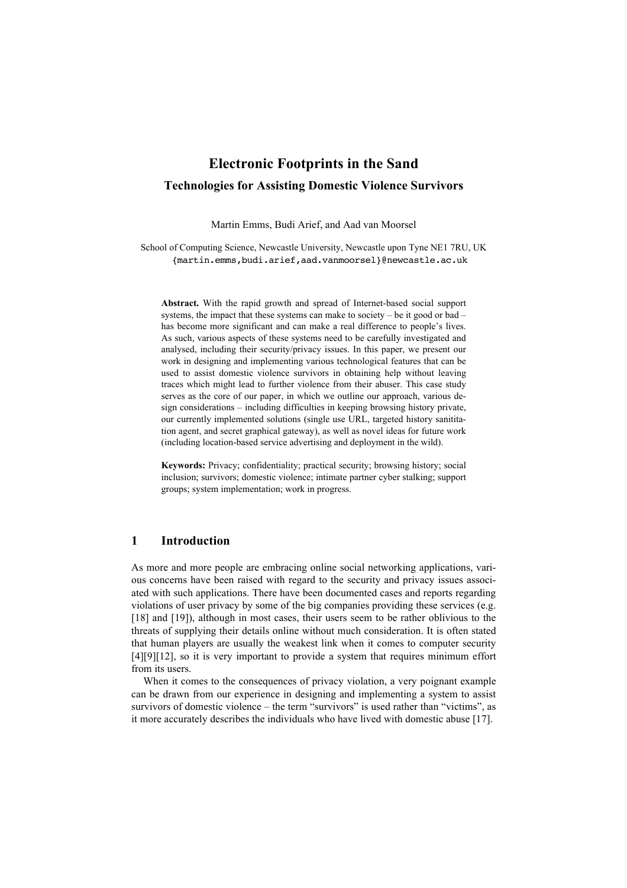### **Electronic Footprints in the Sand Technologies for Assisting Domestic Violence Survivors**

Martin Emms, Budi Arief, and Aad van Moorsel

School of Computing Science, Newcastle University, Newcastle upon Tyne NE1 7RU, UK {martin.emms,budi.arief,aad.vanmoorsel}@newcastle.ac.uk

**Abstract.** With the rapid growth and spread of Internet-based social support systems, the impact that these systems can make to society – be it good or bad – has become more significant and can make a real difference to people's lives. As such, various aspects of these systems need to be carefully investigated and analysed, including their security/privacy issues. In this paper, we present our work in designing and implementing various technological features that can be used to assist domestic violence survivors in obtaining help without leaving traces which might lead to further violence from their abuser. This case study serves as the core of our paper, in which we outline our approach, various design considerations – including difficulties in keeping browsing history private, our currently implemented solutions (single use URL, targeted history sanititation agent, and secret graphical gateway), as well as novel ideas for future work (including location-based service advertising and deployment in the wild).

**Keywords:** Privacy; confidentiality; practical security; browsing history; social inclusion; survivors; domestic violence; intimate partner cyber stalking; support groups; system implementation; work in progress.

#### **1 Introduction**

As more and more people are embracing online social networking applications, various concerns have been raised with regard to the security and privacy issues associated with such applications. There have been documented cases and reports regarding violations of user privacy by some of the big companies providing these services (e.g. [18] and [19]), although in most cases, their users seem to be rather oblivious to the threats of supplying their details online without much consideration. It is often stated that human players are usually the weakest link when it comes to computer security [4][9][12], so it is very important to provide a system that requires minimum effort from its users.

When it comes to the consequences of privacy violation, a very poignant example can be drawn from our experience in designing and implementing a system to assist survivors of domestic violence – the term "survivors" is used rather than "victims", as it more accurately describes the individuals who have lived with domestic abuse [17].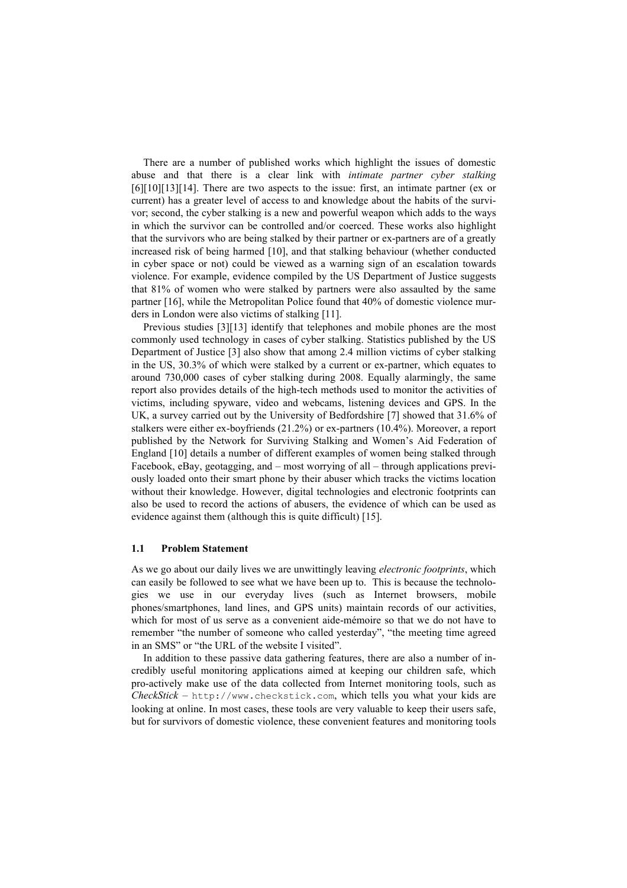There are a number of published works which highlight the issues of domestic abuse and that there is a clear link with *intimate partner cyber stalking* [6][10][13][14]. There are two aspects to the issue: first, an intimate partner (ex or current) has a greater level of access to and knowledge about the habits of the survivor; second, the cyber stalking is a new and powerful weapon which adds to the ways in which the survivor can be controlled and/or coerced. These works also highlight that the survivors who are being stalked by their partner or ex-partners are of a greatly increased risk of being harmed [10], and that stalking behaviour (whether conducted in cyber space or not) could be viewed as a warning sign of an escalation towards violence. For example, evidence compiled by the US Department of Justice suggests that 81% of women who were stalked by partners were also assaulted by the same partner [16], while the Metropolitan Police found that 40% of domestic violence murders in London were also victims of stalking [11].

Previous studies [3][13] identify that telephones and mobile phones are the most commonly used technology in cases of cyber stalking. Statistics published by the US Department of Justice [3] also show that among 2.4 million victims of cyber stalking in the US, 30.3% of which were stalked by a current or ex-partner, which equates to around 730,000 cases of cyber stalking during 2008. Equally alarmingly, the same report also provides details of the high-tech methods used to monitor the activities of victims, including spyware, video and webcams, listening devices and GPS. In the UK, a survey carried out by the University of Bedfordshire [7] showed that 31.6% of stalkers were either ex-boyfriends (21.2%) or ex-partners (10.4%). Moreover, a report published by the Network for Surviving Stalking and Women's Aid Federation of England [10] details a number of different examples of women being stalked through Facebook, eBay, geotagging, and – most worrying of all – through applications previously loaded onto their smart phone by their abuser which tracks the victims location without their knowledge. However, digital technologies and electronic footprints can also be used to record the actions of abusers, the evidence of which can be used as evidence against them (although this is quite difficult) [15].

#### **1.1 Problem Statement**

As we go about our daily lives we are unwittingly leaving *electronic footprints*, which can easily be followed to see what we have been up to. This is because the technologies we use in our everyday lives (such as Internet browsers, mobile phones/smartphones, land lines, and GPS units) maintain records of our activities, which for most of us serve as a convenient aide-mémoire so that we do not have to remember "the number of someone who called yesterday", "the meeting time agreed in an SMS" or "the URL of the website I visited".

In addition to these passive data gathering features, there are also a number of incredibly useful monitoring applications aimed at keeping our children safe, which pro-actively make use of the data collected from Internet monitoring tools, such as *CheckStick –* http://www.checkstick.com, which tells you what your kids are looking at online. In most cases, these tools are very valuable to keep their users safe, but for survivors of domestic violence, these convenient features and monitoring tools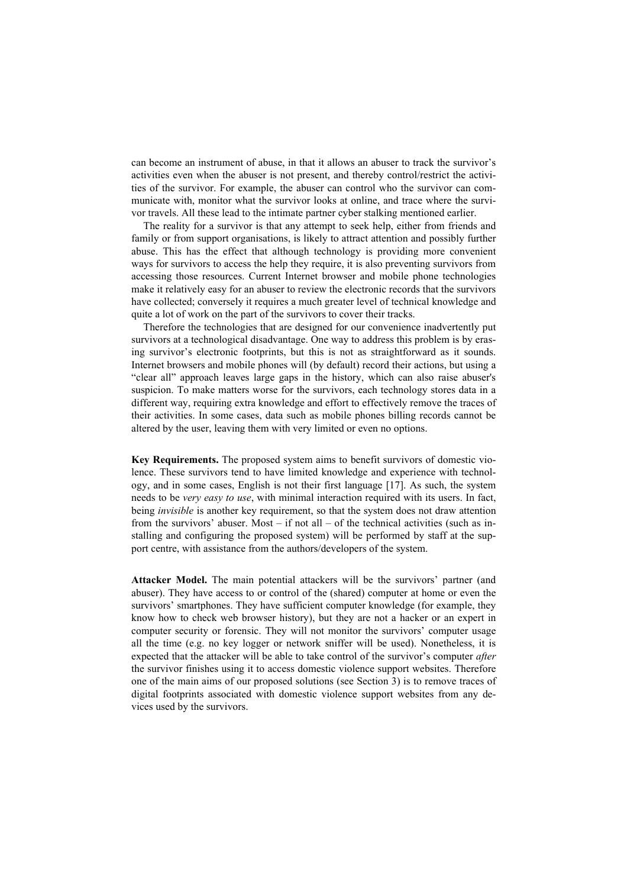can become an instrument of abuse, in that it allows an abuser to track the survivor's activities even when the abuser is not present, and thereby control/restrict the activities of the survivor. For example, the abuser can control who the survivor can communicate with, monitor what the survivor looks at online, and trace where the survivor travels. All these lead to the intimate partner cyber stalking mentioned earlier.

The reality for a survivor is that any attempt to seek help, either from friends and family or from support organisations, is likely to attract attention and possibly further abuse. This has the effect that although technology is providing more convenient ways for survivors to access the help they require, it is also preventing survivors from accessing those resources. Current Internet browser and mobile phone technologies make it relatively easy for an abuser to review the electronic records that the survivors have collected; conversely it requires a much greater level of technical knowledge and quite a lot of work on the part of the survivors to cover their tracks.

Therefore the technologies that are designed for our convenience inadvertently put survivors at a technological disadvantage. One way to address this problem is by erasing survivor's electronic footprints, but this is not as straightforward as it sounds. Internet browsers and mobile phones will (by default) record their actions, but using a "clear all" approach leaves large gaps in the history, which can also raise abuser's suspicion. To make matters worse for the survivors, each technology stores data in a different way, requiring extra knowledge and effort to effectively remove the traces of their activities. In some cases, data such as mobile phones billing records cannot be altered by the user, leaving them with very limited or even no options.

**Key Requirements.** The proposed system aims to benefit survivors of domestic violence. These survivors tend to have limited knowledge and experience with technology, and in some cases, English is not their first language [17]. As such, the system needs to be *very easy to use*, with minimal interaction required with its users. In fact, being *invisible* is another key requirement, so that the system does not draw attention from the survivors' abuser. Most  $-$  if not all  $-$  of the technical activities (such as installing and configuring the proposed system) will be performed by staff at the support centre, with assistance from the authors/developers of the system.

**Attacker Model.** The main potential attackers will be the survivors' partner (and abuser). They have access to or control of the (shared) computer at home or even the survivors' smartphones. They have sufficient computer knowledge (for example, they know how to check web browser history), but they are not a hacker or an expert in computer security or forensic. They will not monitor the survivors' computer usage all the time (e.g. no key logger or network sniffer will be used). Nonetheless, it is expected that the attacker will be able to take control of the survivor's computer *after* the survivor finishes using it to access domestic violence support websites. Therefore one of the main aims of our proposed solutions (see Section 3) is to remove traces of digital footprints associated with domestic violence support websites from any devices used by the survivors.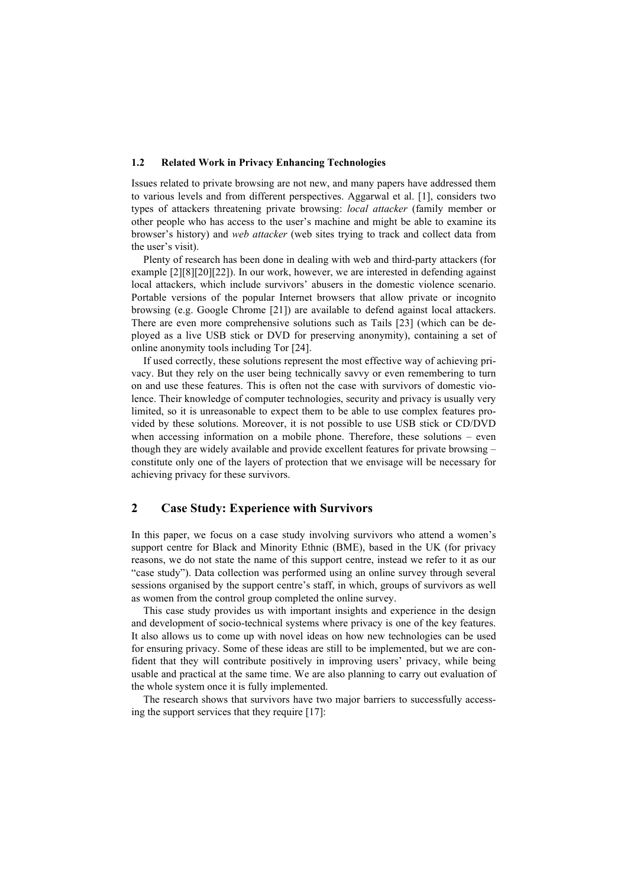#### **1.2 Related Work in Privacy Enhancing Technologies**

Issues related to private browsing are not new, and many papers have addressed them to various levels and from different perspectives. Aggarwal et al. [1], considers two types of attackers threatening private browsing: *local attacker* (family member or other people who has access to the user's machine and might be able to examine its browser's history) and *web attacker* (web sites trying to track and collect data from the user's visit).

Plenty of research has been done in dealing with web and third-party attackers (for example [2][8][20][22]). In our work, however, we are interested in defending against local attackers, which include survivors' abusers in the domestic violence scenario. Portable versions of the popular Internet browsers that allow private or incognito browsing (e.g. Google Chrome [21]) are available to defend against local attackers. There are even more comprehensive solutions such as Tails [23] (which can be deployed as a live USB stick or DVD for preserving anonymity), containing a set of online anonymity tools including Tor [24].

If used correctly, these solutions represent the most effective way of achieving privacy. But they rely on the user being technically savvy or even remembering to turn on and use these features. This is often not the case with survivors of domestic violence. Their knowledge of computer technologies, security and privacy is usually very limited, so it is unreasonable to expect them to be able to use complex features provided by these solutions. Moreover, it is not possible to use USB stick or CD/DVD when accessing information on a mobile phone. Therefore, these solutions – even though they are widely available and provide excellent features for private browsing – constitute only one of the layers of protection that we envisage will be necessary for achieving privacy for these survivors.

#### **2 Case Study: Experience with Survivors**

In this paper, we focus on a case study involving survivors who attend a women's support centre for Black and Minority Ethnic (BME), based in the UK (for privacy reasons, we do not state the name of this support centre, instead we refer to it as our "case study"). Data collection was performed using an online survey through several sessions organised by the support centre's staff, in which, groups of survivors as well as women from the control group completed the online survey.

This case study provides us with important insights and experience in the design and development of socio-technical systems where privacy is one of the key features. It also allows us to come up with novel ideas on how new technologies can be used for ensuring privacy. Some of these ideas are still to be implemented, but we are confident that they will contribute positively in improving users' privacy, while being usable and practical at the same time. We are also planning to carry out evaluation of the whole system once it is fully implemented.

The research shows that survivors have two major barriers to successfully accessing the support services that they require [17]: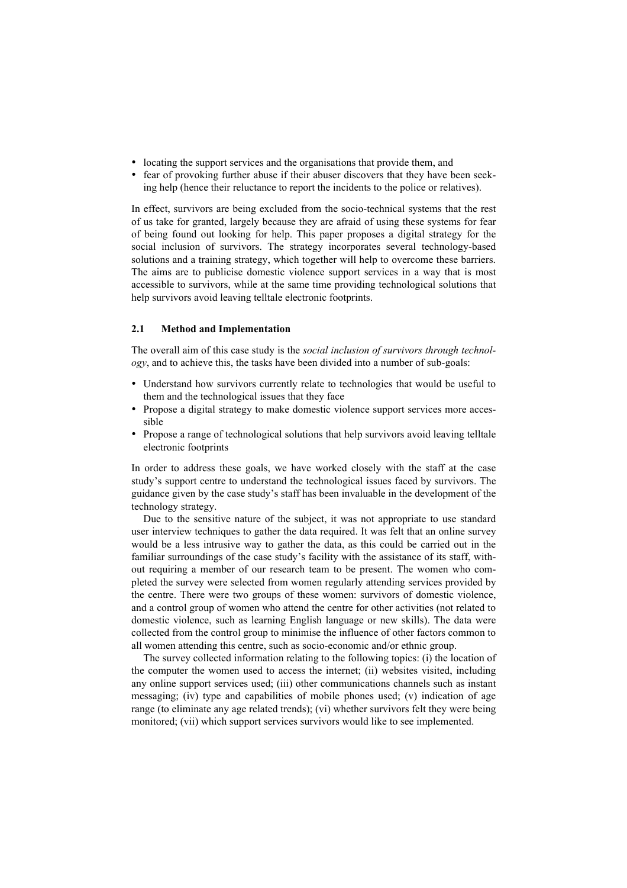- locating the support services and the organisations that provide them, and
- fear of provoking further abuse if their abuser discovers that they have been seeking help (hence their reluctance to report the incidents to the police or relatives).

In effect, survivors are being excluded from the socio-technical systems that the rest of us take for granted, largely because they are afraid of using these systems for fear of being found out looking for help. This paper proposes a digital strategy for the social inclusion of survivors. The strategy incorporates several technology-based solutions and a training strategy, which together will help to overcome these barriers. The aims are to publicise domestic violence support services in a way that is most accessible to survivors, while at the same time providing technological solutions that help survivors avoid leaving telltale electronic footprints.

#### **2.1 Method and Implementation**

The overall aim of this case study is the *social inclusion of survivors through technology*, and to achieve this, the tasks have been divided into a number of sub-goals:

- Understand how survivors currently relate to technologies that would be useful to them and the technological issues that they face
- Propose a digital strategy to make domestic violence support services more accessible
- Propose a range of technological solutions that help survivors avoid leaving telltale electronic footprints

In order to address these goals, we have worked closely with the staff at the case study's support centre to understand the technological issues faced by survivors. The guidance given by the case study's staff has been invaluable in the development of the technology strategy.

Due to the sensitive nature of the subject, it was not appropriate to use standard user interview techniques to gather the data required. It was felt that an online survey would be a less intrusive way to gather the data, as this could be carried out in the familiar surroundings of the case study's facility with the assistance of its staff, without requiring a member of our research team to be present. The women who completed the survey were selected from women regularly attending services provided by the centre. There were two groups of these women: survivors of domestic violence, and a control group of women who attend the centre for other activities (not related to domestic violence, such as learning English language or new skills). The data were collected from the control group to minimise the influence of other factors common to all women attending this centre, such as socio-economic and/or ethnic group.

The survey collected information relating to the following topics: (i) the location of the computer the women used to access the internet; (ii) websites visited, including any online support services used; (iii) other communications channels such as instant messaging; (iv) type and capabilities of mobile phones used; (v) indication of age range (to eliminate any age related trends); (vi) whether survivors felt they were being monitored; (vii) which support services survivors would like to see implemented.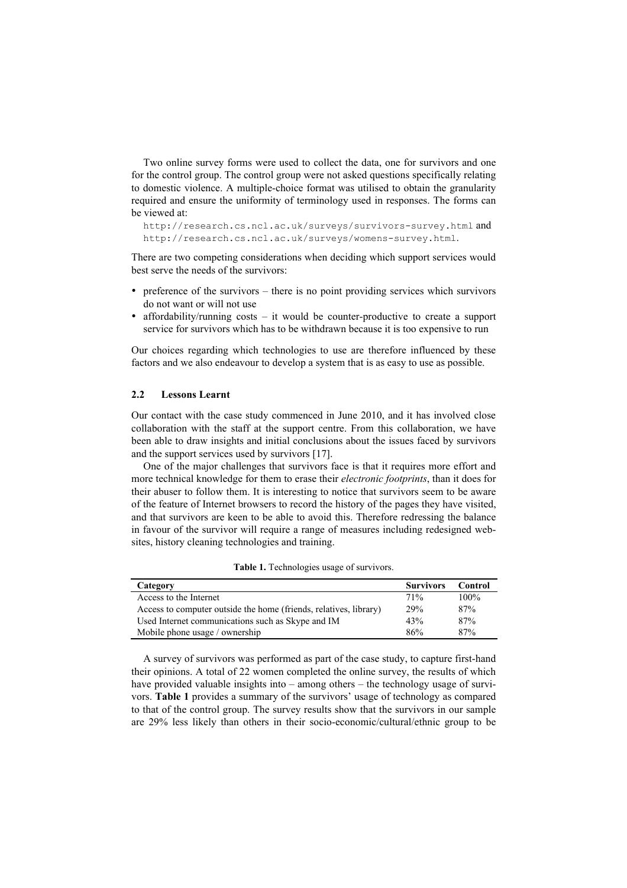Two online survey forms were used to collect the data, one for survivors and one for the control group. The control group were not asked questions specifically relating to domestic violence. A multiple-choice format was utilised to obtain the granularity required and ensure the uniformity of terminology used in responses. The forms can be viewed at:

```
http://research.cs.ncl.ac.uk/surveys/survivors-survey.html and
http://research.cs.ncl.ac.uk/surveys/womens-survey.html.
```
There are two competing considerations when deciding which support services would best serve the needs of the survivors:

- $\bullet$  preference of the survivors there is no point providing services which survivors do not want or will not use
- affordability/running costs it would be counter-productive to create a support service for survivors which has to be withdrawn because it is too expensive to run

Our choices regarding which technologies to use are therefore influenced by these factors and we also endeavour to develop a system that is as easy to use as possible.

#### **2.2 Lessons Learnt**

Our contact with the case study commenced in June 2010, and it has involved close collaboration with the staff at the support centre. From this collaboration, we have been able to draw insights and initial conclusions about the issues faced by survivors and the support services used by survivors [17].

One of the major challenges that survivors face is that it requires more effort and more technical knowledge for them to erase their *electronic footprints*, than it does for their abuser to follow them. It is interesting to notice that survivors seem to be aware of the feature of Internet browsers to record the history of the pages they have visited, and that survivors are keen to be able to avoid this. Therefore redressing the balance in favour of the survivor will require a range of measures including redesigned websites, history cleaning technologies and training.

| Category                                                          | <b>Survivors</b> | Control |
|-------------------------------------------------------------------|------------------|---------|
| Access to the Internet                                            | 71%              | $100\%$ |
| Access to computer outside the home (friends, relatives, library) | 29%              | 87%     |
| Used Internet communications such as Skype and IM                 | 43%              | 87%     |

Mobile phone usage / ownership 86% 87%

**Table 1.** Technologies usage of survivors.

A survey of survivors was performed as part of the case study, to capture first-hand their opinions. A total of 22 women completed the online survey, the results of which have provided valuable insights into – among others – the technology usage of survivors. **Table 1** provides a summary of the survivors' usage of technology as compared to that of the control group. The survey results show that the survivors in our sample are 29% less likely than others in their socio-economic/cultural/ethnic group to be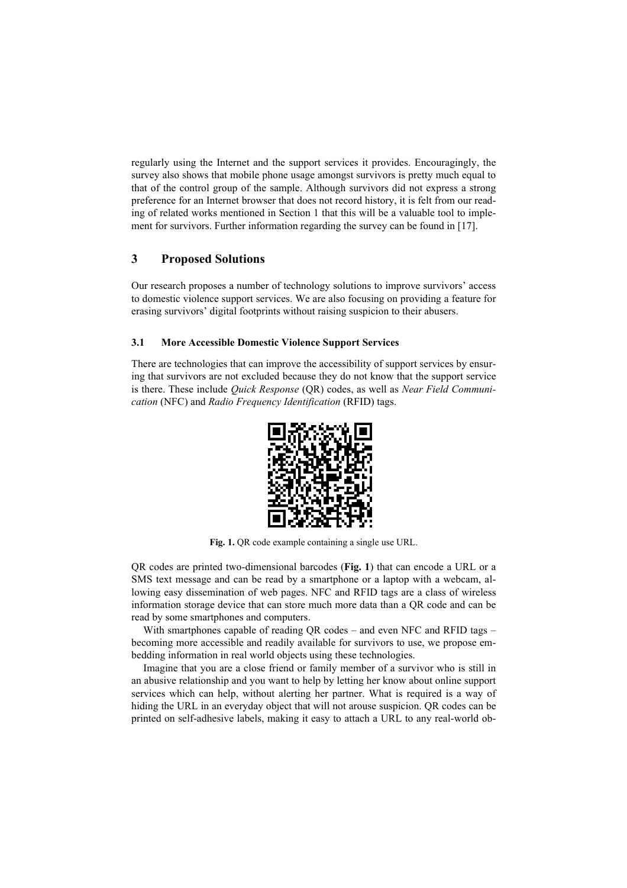regularly using the Internet and the support services it provides. Encouragingly, the survey also shows that mobile phone usage amongst survivors is pretty much equal to that of the control group of the sample. Although survivors did not express a strong preference for an Internet browser that does not record history, it is felt from our reading of related works mentioned in Section 1 that this will be a valuable tool to implement for survivors. Further information regarding the survey can be found in [17].

#### **3 Proposed Solutions**

Our research proposes a number of technology solutions to improve survivors' access to domestic violence support services. We are also focusing on providing a feature for erasing survivors' digital footprints without raising suspicion to their abusers.

#### **3.1 More Accessible Domestic Violence Support Services**

There are technologies that can improve the accessibility of support services by ensuring that survivors are not excluded because they do not know that the support service is there. These include *Quick Response* (QR) codes, as well as *Near Field Communication* (NFC) and *Radio Frequency Identification* (RFID) tags.



**Fig. 1.** QR code example containing a single use URL.

QR codes are printed two-dimensional barcodes (**Fig. 1**) that can encode a URL or a SMS text message and can be read by a smartphone or a laptop with a webcam, allowing easy dissemination of web pages. NFC and RFID tags are a class of wireless information storage device that can store much more data than a QR code and can be read by some smartphones and computers.

With smartphones capable of reading OR codes – and even NFC and RFID tags – becoming more accessible and readily available for survivors to use, we propose embedding information in real world objects using these technologies.

Imagine that you are a close friend or family member of a survivor who is still in an abusive relationship and you want to help by letting her know about online support services which can help, without alerting her partner. What is required is a way of hiding the URL in an everyday object that will not arouse suspicion. QR codes can be printed on self-adhesive labels, making it easy to attach a URL to any real-world ob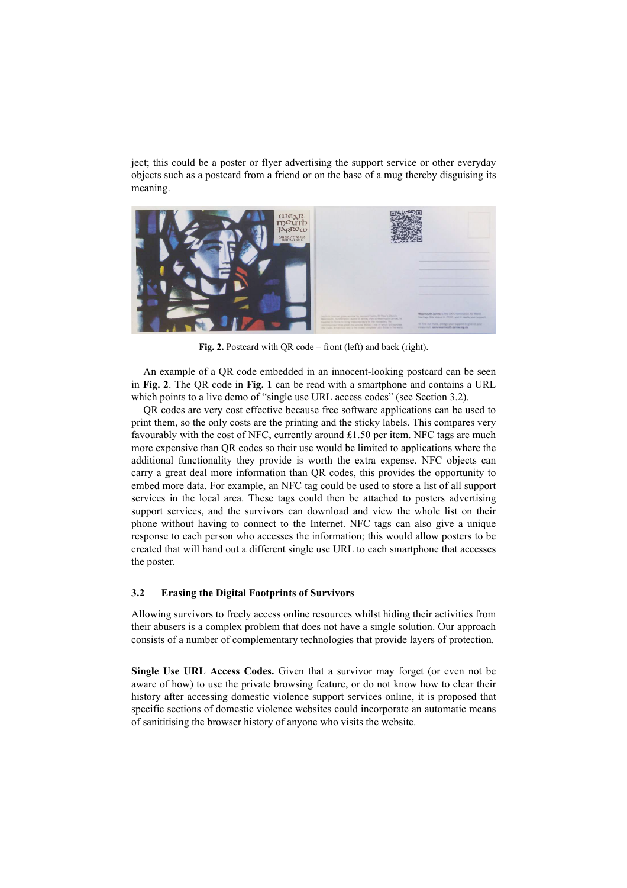ject; this could be a poster or flyer advertising the support service or other everyday objects such as a postcard from a friend or on the base of a mug thereby disguising its meaning.



**Fig. 2.** Postcard with QR code – front (left) and back (right).

An example of a QR code embedded in an innocent-looking postcard can be seen in **Fig. 2**. The QR code in **Fig. 1** can be read with a smartphone and contains a URL which points to a live demo of "single use URL access codes" (see Section 3.2).

QR codes are very cost effective because free software applications can be used to print them, so the only costs are the printing and the sticky labels. This compares very favourably with the cost of NFC, currently around  $\pounds1.50$  per item. NFC tags are much more expensive than QR codes so their use would be limited to applications where the additional functionality they provide is worth the extra expense. NFC objects can carry a great deal more information than QR codes, this provides the opportunity to embed more data. For example, an NFC tag could be used to store a list of all support services in the local area. These tags could then be attached to posters advertising support services, and the survivors can download and view the whole list on their phone without having to connect to the Internet. NFC tags can also give a unique response to each person who accesses the information; this would allow posters to be created that will hand out a different single use URL to each smartphone that accesses the poster.

#### **3.2 Erasing the Digital Footprints of Survivors**

Allowing survivors to freely access online resources whilst hiding their activities from their abusers is a complex problem that does not have a single solution. Our approach consists of a number of complementary technologies that provide layers of protection.

**Single Use URL Access Codes.** Given that a survivor may forget (or even not be aware of how) to use the private browsing feature, or do not know how to clear their history after accessing domestic violence support services online, it is proposed that specific sections of domestic violence websites could incorporate an automatic means of sanititising the browser history of anyone who visits the website.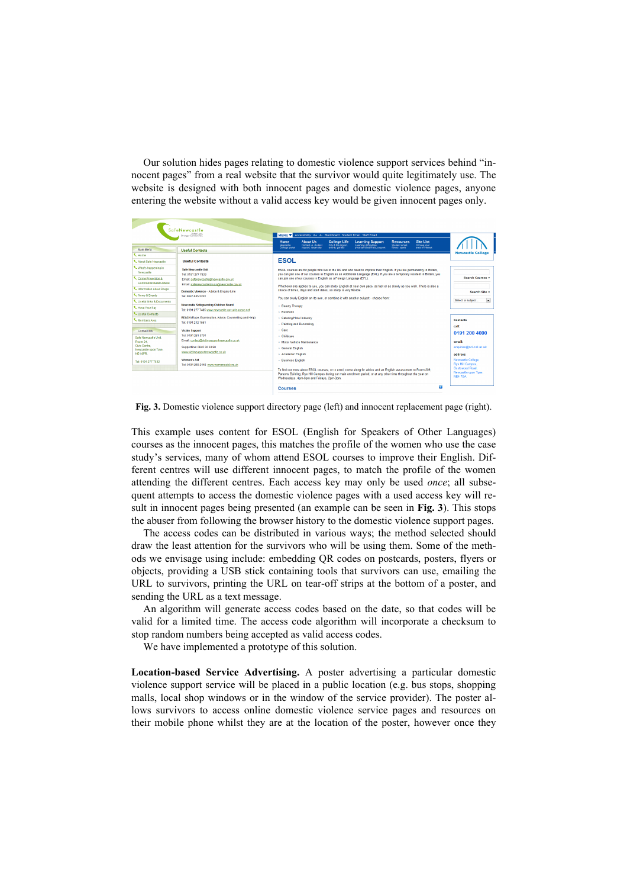Our solution hides pages relating to domestic violence support services behind "innocent pages" from a real website that the survivor would quite legitimately use. The website is designed with both innocent pages and domestic violence pages, anyone entering the website without a valid access key would be given innocent pages only.

| <b>Main Menu</b><br><b>Useful Contacts</b><br>C Home<br><b>Useful Contacts</b><br>L About Safe Newcastle<br>< What's happening in<br><b>Safe Newcastle Unit</b><br>Newcastle<br>Tel: 0191 277 7833<br>Crime Prevention &<br>Email: safenewcastle@newcastle.oov.uk<br>Community Safety Advice<br>Email: safenewcastle/drugs@newcastle.gov.uk<br>C. Information about Drugs                                                                                                                                                                | <b>About Us</b><br><b>College Life</b><br><b>Site List</b><br>Home<br><b>Learning Support</b><br><b>Resources</b><br>City & the region,<br>Learning difficulties,<br>chysical disabiliteis, support<br>Newcastle<br>Contact us, student<br>Student email<br>Choose your<br>support, vacancies<br>area of interest<br>College portal<br>events, callery<br>library, socrts<br><b>ESOL</b><br>ESOL courses are for people who live in the UK and who need to improve their English. If you live permanently in Britain,<br>vou can ioin one of our courses in English as an Additional Language (EAL). If you are a temporary resident in Britain, you<br>can join one of our courses in English as a Foreign Language (EFL). | <b>Newcastle College</b>                                                                                                                                                                   |
|------------------------------------------------------------------------------------------------------------------------------------------------------------------------------------------------------------------------------------------------------------------------------------------------------------------------------------------------------------------------------------------------------------------------------------------------------------------------------------------------------------------------------------------|-----------------------------------------------------------------------------------------------------------------------------------------------------------------------------------------------------------------------------------------------------------------------------------------------------------------------------------------------------------------------------------------------------------------------------------------------------------------------------------------------------------------------------------------------------------------------------------------------------------------------------------------------------------------------------------------------------------------------------|--------------------------------------------------------------------------------------------------------------------------------------------------------------------------------------------|
|                                                                                                                                                                                                                                                                                                                                                                                                                                                                                                                                          |                                                                                                                                                                                                                                                                                                                                                                                                                                                                                                                                                                                                                                                                                                                             |                                                                                                                                                                                            |
| Domestic Violence - Advice & Enquiry Line<br>C. News & Fuents<br>Tel: 0845 605 2222<br>C. Heeful links & Documents<br>Newcastle Safeguarding Children Board<br>C Have Your Sav                                                                                                                                                                                                                                                                                                                                                           | Whichever one applies to you, you can study English at your own pace, as fast or as slowly as you wish. There is also a<br>choice of times, days and start dates, so study is very flexible.<br>You can study English on its own, or combine it with another subject - choose from:<br>· Beauty Therapy                                                                                                                                                                                                                                                                                                                                                                                                                     | <b>Search Courses »</b><br>Search Site »<br>Select a subject                                                                                                                               |
| Tel: 0191 277 7485 www.newcastle.cov.uk/ssacpc.nsf<br>C. Useful Contacts<br>REACH (Rape, Examination, Advice, Counselling and Help)<br>C Members Area<br>Tel: 0191 212 1551<br>Contact info<br><b>Victim Support</b><br>Tel: 0191 281 3791<br>Safe Newcastle Unit<br>Email: contact@victimsupportnewcastle.co.uk<br>Room 34.<br>CMc Centre.<br>Supportline: 0845 30 30 90<br>Newcastle upon Tyne.<br>www.victimsupportnewcastle.co.uk<br>NE1 SPR.<br><b>Women's Aid</b><br>Tel: 0191 277 7832<br>Tel: 0191 265 2148 www.womensald.org.uk | · Business<br>- Catering/Hotel Industry<br>- Painting and Decorating<br>$•$ Care<br>+ Childrare<br>- Motor Vehicle Maintenance<br>· General English<br>- Academic English<br>· Business English<br>To find out more about ESOL courses, or to enrol, come along for advice and an English assessment to Room 209,<br>Parsons Building, Rye Hill Campus during our main enrolment period, or at any other time throughout the year on                                                                                                                                                                                                                                                                                        | <b>Contacts</b><br>call:<br>0191 200 4000<br>email:<br>enquiries@ncl-coll.ac.uk<br>address:<br>Newcastle College.<br>Rye Hill Campus,<br>Scotswood Road<br>Newcastle upon Tyne.<br>NF4 7SA |

**Fig. 3.** Domestic violence support directory page (left) and innocent replacement page (right).

This example uses content for ESOL (English for Speakers of Other Languages) courses as the innocent pages, this matches the profile of the women who use the case study's services, many of whom attend ESOL courses to improve their English. Different centres will use different innocent pages, to match the profile of the women attending the different centres. Each access key may only be used *once*; all subsequent attempts to access the domestic violence pages with a used access key will result in innocent pages being presented (an example can be seen in **Fig. 3**). This stops the abuser from following the browser history to the domestic violence support pages.

The access codes can be distributed in various ways; the method selected should draw the least attention for the survivors who will be using them. Some of the methods we envisage using include: embedding QR codes on postcards, posters, flyers or objects, providing a USB stick containing tools that survivors can use, emailing the URL to survivors, printing the URL on tear-off strips at the bottom of a poster, and sending the URL as a text message.

An algorithm will generate access codes based on the date, so that codes will be valid for a limited time. The access code algorithm will incorporate a checksum to stop random numbers being accepted as valid access codes.

We have implemented a prototype of this solution.

**Location-based Service Advertising.** A poster advertising a particular domestic violence support service will be placed in a public location (e.g. bus stops, shopping malls, local shop windows or in the window of the service provider). The poster allows survivors to access online domestic violence service pages and resources on their mobile phone whilst they are at the location of the poster, however once they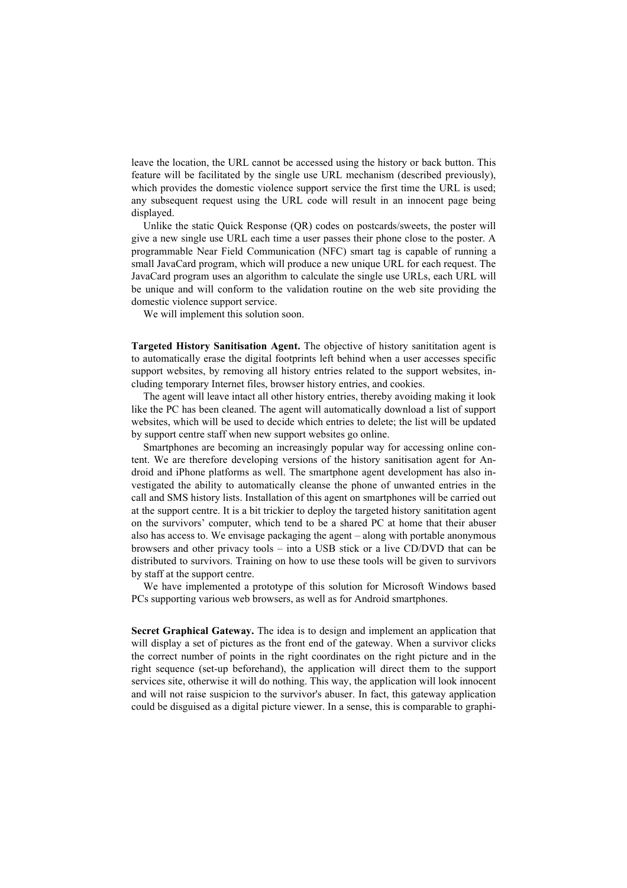leave the location, the URL cannot be accessed using the history or back button. This feature will be facilitated by the single use URL mechanism (described previously), which provides the domestic violence support service the first time the URL is used; any subsequent request using the URL code will result in an innocent page being displayed.

Unlike the static Quick Response (QR) codes on postcards/sweets, the poster will give a new single use URL each time a user passes their phone close to the poster. A programmable Near Field Communication (NFC) smart tag is capable of running a small JavaCard program, which will produce a new unique URL for each request. The JavaCard program uses an algorithm to calculate the single use URLs, each URL will be unique and will conform to the validation routine on the web site providing the domestic violence support service.

We will implement this solution soon.

**Targeted History Sanitisation Agent.** The objective of history sanititation agent is to automatically erase the digital footprints left behind when a user accesses specific support websites, by removing all history entries related to the support websites, including temporary Internet files, browser history entries, and cookies.

The agent will leave intact all other history entries, thereby avoiding making it look like the PC has been cleaned. The agent will automatically download a list of support websites, which will be used to decide which entries to delete; the list will be updated by support centre staff when new support websites go online.

Smartphones are becoming an increasingly popular way for accessing online content. We are therefore developing versions of the history sanitisation agent for Android and iPhone platforms as well. The smartphone agent development has also investigated the ability to automatically cleanse the phone of unwanted entries in the call and SMS history lists. Installation of this agent on smartphones will be carried out at the support centre. It is a bit trickier to deploy the targeted history sanititation agent on the survivors' computer, which tend to be a shared PC at home that their abuser also has access to. We envisage packaging the agent – along with portable anonymous browsers and other privacy tools – into a USB stick or a live CD/DVD that can be distributed to survivors. Training on how to use these tools will be given to survivors by staff at the support centre.

We have implemented a prototype of this solution for Microsoft Windows based PCs supporting various web browsers, as well as for Android smartphones.

**Secret Graphical Gateway.** The idea is to design and implement an application that will display a set of pictures as the front end of the gateway. When a survivor clicks the correct number of points in the right coordinates on the right picture and in the right sequence (set-up beforehand), the application will direct them to the support services site, otherwise it will do nothing. This way, the application will look innocent and will not raise suspicion to the survivor's abuser. In fact, this gateway application could be disguised as a digital picture viewer. In a sense, this is comparable to graphi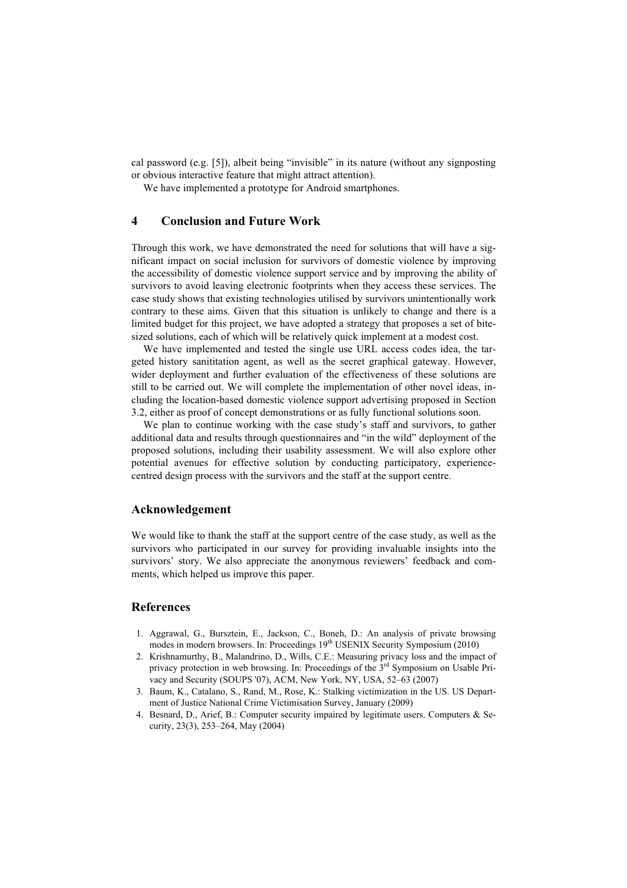cal password (e.g. [5]), albeit being "invisible" in its nature (without any signposting or obvious interactive feature that might attract attention).

We have implemented a prototype for Android smartphones.

#### **4 Conclusion and Future Work**

Through this work, we have demonstrated the need for solutions that will have a significant impact on social inclusion for survivors of domestic violence by improving the accessibility of domestic violence support service and by improving the ability of survivors to avoid leaving electronic footprints when they access these services. The case study shows that existing technologies utilised by survivors unintentionally work contrary to these aims. Given that this situation is unlikely to change and there is a limited budget for this project, we have adopted a strategy that proposes a set of bitesized solutions, each of which will be relatively quick implement at a modest cost.

We have implemented and tested the single use URL access codes idea, the targeted history sanititation agent, as well as the secret graphical gateway. However, wider deployment and further evaluation of the effectiveness of these solutions are still to be carried out. We will complete the implementation of other novel ideas, including the location-based domestic violence support advertising proposed in Section 3.2, either as proof of concept demonstrations or as fully functional solutions soon.

We plan to continue working with the case study's staff and survivors, to gather additional data and results through questionnaires and "in the wild" deployment of the proposed solutions, including their usability assessment. We will also explore other potential avenues for effective solution by conducting participatory, experiencecentred design process with the survivors and the staff at the support centre.

#### **Acknowledgement**

We would like to thank the staff at the support centre of the case study, as well as the survivors who participated in our survey for providing invaluable insights into the survivors' story. We also appreciate the anonymous reviewers' feedback and comments, which helped us improve this paper.

#### **References**

- 1. Aggrawal, G., Bursztein, E., Jackson, C., Boneh, D.: An analysis of private browsing modes in modern browsers. In: Proceedings 19<sup>th</sup> USENIX Security Symposium (2010)
- 2. Krishnamurthy, B., Malandrino, D., Wills, C.E.: Measuring privacy loss and the impact of privacy protection in web browsing. In: Proceedings of the 3rd Symposium on Usable Privacy and Security (SOUPS '07), ACM, New York, NY, USA, 52–63 (2007)
- 3. Baum, K., Catalano, S., Rand, M., Rose, K.: Stalking victimization in the US. US Department of Justice National Crime Victimisation Survey, January (2009)
- 4. Besnard, D., Arief, B.: Computer security impaired by legitimate users. Computers & Security, 23(3), 253–264, May (2004)